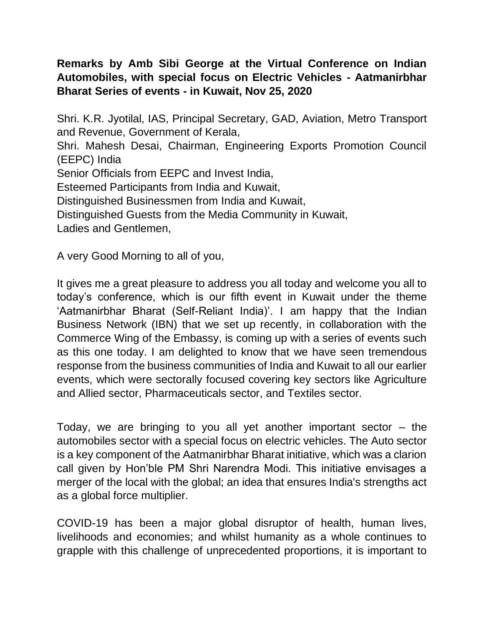## **Remarks by Amb Sibi George at the Virtual Conference on Indian Automobiles, with special focus on Electric Vehicles - Aatmanirbhar Bharat Series of events - in Kuwait, Nov 25, 2020**

Shri. K.R. Jyotilal, IAS, Principal Secretary, GAD, Aviation, Metro Transport and Revenue, Government of Kerala, Shri. Mahesh Desai, Chairman, Engineering Exports Promotion Council (EEPC) India Senior Officials from EEPC and Invest India, Esteemed Participants from India and Kuwait, Distinguished Businessmen from India and Kuwait, Distinguished Guests from the Media Community in Kuwait, Ladies and Gentlemen,

A very Good Morning to all of you,

It gives me a great pleasure to address you all today and welcome you all to today's conference, which is our fifth event in Kuwait under the theme 'Aatmanirbhar Bharat (Self-Reliant India)'. I am happy that the Indian Business Network (IBN) that we set up recently, in collaboration with the Commerce Wing of the Embassy, is coming up with a series of events such as this one today. I am delighted to know that we have seen tremendous response from the business communities of India and Kuwait to all our earlier events, which were sectorally focused covering key sectors like Agriculture and Allied sector, Pharmaceuticals sector, and Textiles sector.

Today, we are bringing to you all yet another important sector  $-$  the automobiles sector with a special focus on electric vehicles. The Auto sector is a key component of the Aatmanirbhar Bharat initiative, which was a clarion call given by Hon'ble PM Shri Narendra Modi. This initiative envisages a merger of the local with the global; an idea that ensures India's strengths act as a global force multiplier.

COVID-19 has been a major global disruptor of health, human lives, livelihoods and economies; and whilst humanity as a whole continues to grapple with this challenge of unprecedented proportions, it is important to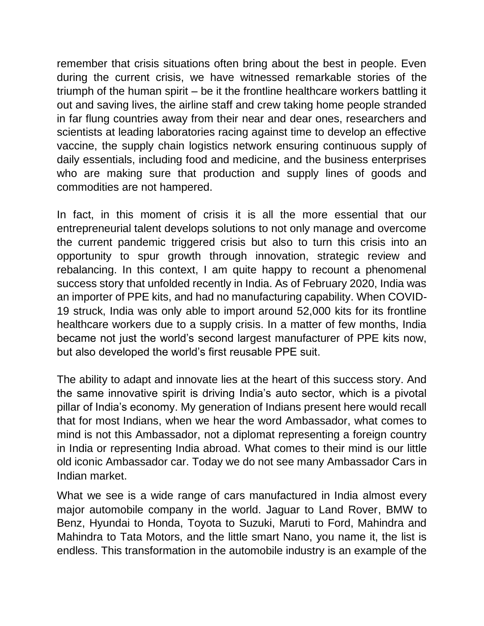remember that crisis situations often bring about the best in people. Even during the current crisis, we have witnessed remarkable stories of the triumph of the human spirit – be it the frontline healthcare workers battling it out and saving lives, the airline staff and crew taking home people stranded in far flung countries away from their near and dear ones, researchers and scientists at leading laboratories racing against time to develop an effective vaccine, the supply chain logistics network ensuring continuous supply of daily essentials, including food and medicine, and the business enterprises who are making sure that production and supply lines of goods and commodities are not hampered.

In fact, in this moment of crisis it is all the more essential that our entrepreneurial talent develops solutions to not only manage and overcome the current pandemic triggered crisis but also to turn this crisis into an opportunity to spur growth through innovation, strategic review and rebalancing. In this context, I am quite happy to recount a phenomenal success story that unfolded recently in India. As of February 2020, India was an importer of PPE kits, and had no manufacturing capability. When COVID-19 struck, India was only able to import around 52,000 kits for its frontline healthcare workers due to a supply crisis. In a matter of few months, India became not just the world's second largest manufacturer of PPE kits now, but also developed the world's first reusable PPE suit.

The ability to adapt and innovate lies at the heart of this success story. And the same innovative spirit is driving India's auto sector, which is a pivotal pillar of India's economy. My generation of Indians present here would recall that for most Indians, when we hear the word Ambassador, what comes to mind is not this Ambassador, not a diplomat representing a foreign country in India or representing India abroad. What comes to their mind is our little old iconic Ambassador car. Today we do not see many Ambassador Cars in Indian market.

What we see is a wide range of cars manufactured in India almost every major automobile company in the world. Jaguar to Land Rover, BMW to Benz, Hyundai to Honda, Toyota to Suzuki, Maruti to Ford, Mahindra and Mahindra to Tata Motors, and the little smart Nano, you name it, the list is endless. This transformation in the automobile industry is an example of the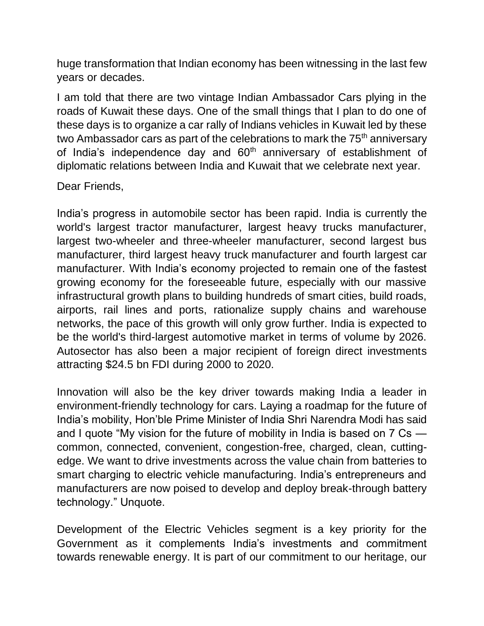huge transformation that Indian economy has been witnessing in the last few years or decades.

I am told that there are two vintage Indian Ambassador Cars plying in the roads of Kuwait these days. One of the small things that I plan to do one of these days is to organize a car rally of Indians vehicles in Kuwait led by these two Ambassador cars as part of the celebrations to mark the 75<sup>th</sup> anniversary of India's independence day and  $60<sup>th</sup>$  anniversary of establishment of diplomatic relations between India and Kuwait that we celebrate next year.

Dear Friends,

India's progress in automobile sector has been rapid. India is currently the world's largest tractor manufacturer, largest heavy trucks manufacturer, largest two-wheeler and three-wheeler manufacturer, second largest bus manufacturer, third largest heavy truck manufacturer and fourth largest car manufacturer. With India's economy projected to remain one of the fastest growing economy for the foreseeable future, especially with our massive infrastructural growth plans to building hundreds of smart cities, build roads, airports, rail lines and ports, rationalize supply chains and warehouse networks, the pace of this growth will only grow further. India is expected to be the world's third-largest automotive market in terms of volume by 2026. Autosector has also been a major recipient of foreign direct investments attracting \$24.5 bn FDI during 2000 to 2020.

Innovation will also be the key driver towards making India a leader in environment-friendly technology for cars. Laying a roadmap for the future of India's mobility, Hon'ble Prime Minister of India Shri Narendra Modi has said and I quote "My vision for the future of mobility in India is based on 7 Cs common, connected, convenient, congestion-free, charged, clean, cuttingedge. We want to drive investments across the value chain from batteries to smart charging to electric vehicle manufacturing. India's entrepreneurs and manufacturers are now poised to develop and deploy break-through battery technology." Unquote.

Development of the Electric Vehicles segment is a key priority for the Government as it complements India's investments and commitment towards renewable energy. It is part of our commitment to our heritage, our